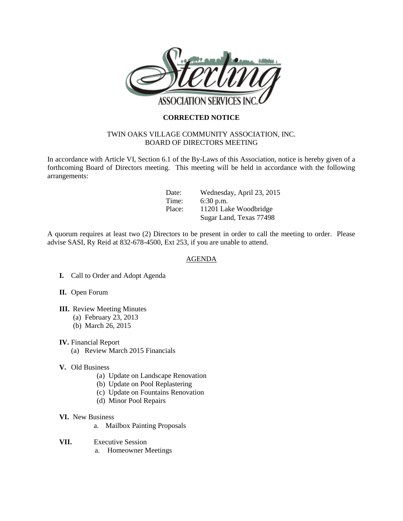

## **CORRECTED NOTICE**

## TWIN OAKS VILLAGE COMMUNITY ASSOCIATION, INC. BOARD OF DIRECTORS MEETING

In accordance with Article VI, Section 6.1 of the By-Laws of this Association, notice is hereby given of a forthcoming Board of Directors meeting. This meeting will be held in accordance with the following arrangements:

| Date:  | Wednesday, April 23, 2015 |
|--------|---------------------------|
| Time:  | $6:30$ p.m.               |
| Place: | 11201 Lake Woodbridge     |
|        | Sugar Land, Texas 77498   |

A quorum requires at least two (2) Directors to be present in order to call the meeting to order. Please advise SASI, Ry Reid at 832-678-4500, Ext 253, if you are unable to attend.

## AGENDA

- **I.** Call to Order and Adopt Agenda
- **II.** Open Forum
- **III.** Review Meeting Minutes
	- (a) February 23, 2013
	- (b) March 26, 2015
- **IV.** Financial Report
	- (a) Review March 2015 Financials
- **V.** Old Business
	- (a) Update on Landscape Renovation
	- (b) Update on Pool Replastering
	- (c) Update on Fountains Renovation
	- (d) Minor Pool Repairs
- **VI.** New Business
	- a. Mailbox Painting Proposals
- **VII.** Executive Session
	- a. Homeowner Meetings